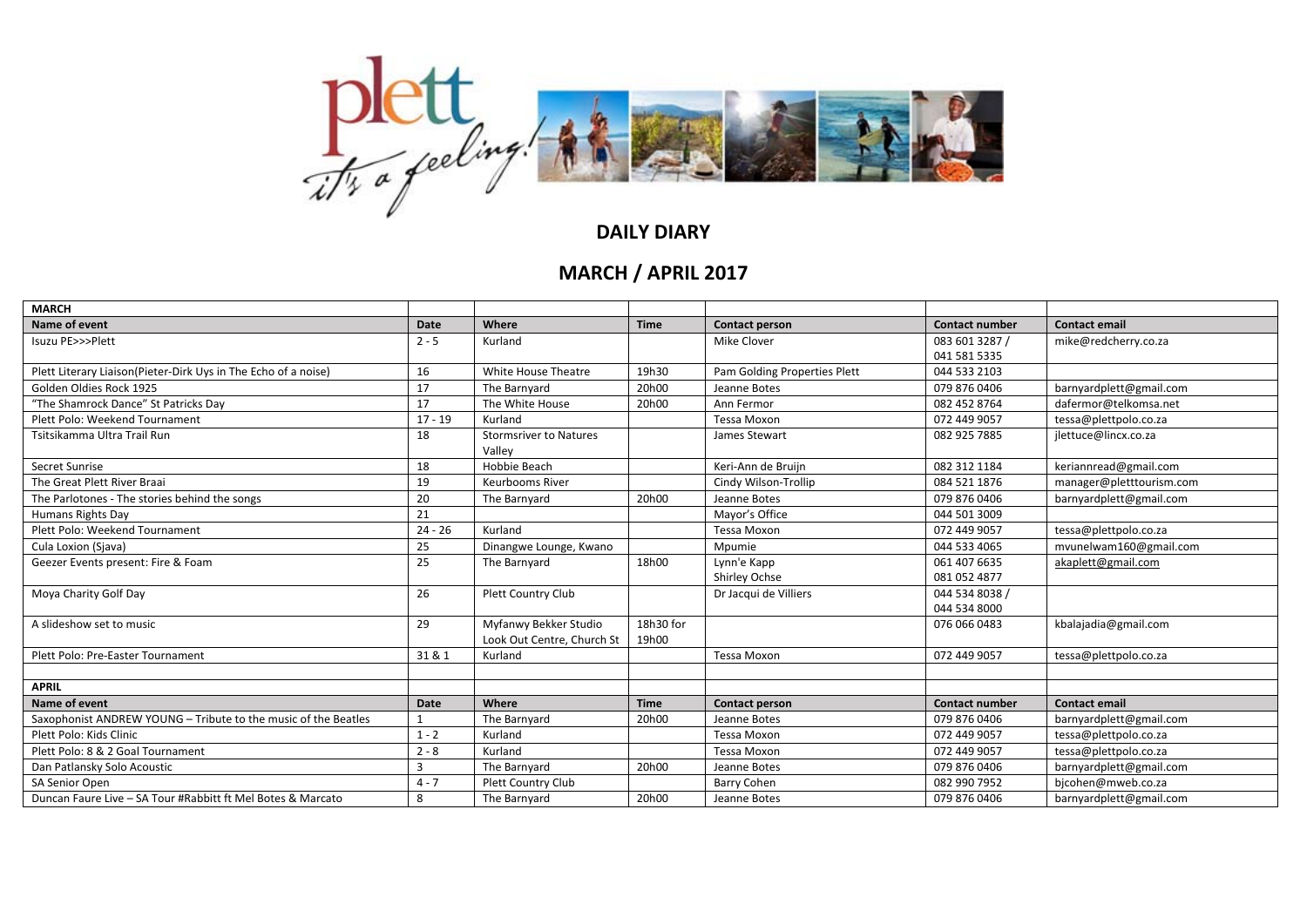

## **DAILY DIARY**

## **MARCH / APRIL 2017**

| <b>MARCH</b>                                                   |           |                               |             |                              |                       |                          |
|----------------------------------------------------------------|-----------|-------------------------------|-------------|------------------------------|-----------------------|--------------------------|
| Name of event                                                  | Date      | Where                         | <b>Time</b> | <b>Contact person</b>        | <b>Contact number</b> | <b>Contact email</b>     |
| Isuzu PE>>>Plett                                               | $2 - 5$   | Kurland                       |             | Mike Clover                  | 083 601 3287 /        | mike@redcherry.co.za     |
|                                                                |           |                               |             |                              | 041 581 5335          |                          |
| Plett Literary Liaison(Pieter-Dirk Uys in The Echo of a noise) | 16        | White House Theatre           | 19h30       | Pam Golding Properties Plett | 044 533 2103          |                          |
| Golden Oldies Rock 1925                                        | 17        | The Barnyard                  | 20h00       | Jeanne Botes                 | 079 876 0406          | barnyardplett@gmail.com  |
| "The Shamrock Dance" St Patricks Day                           | 17        | The White House               | 20h00       | Ann Fermor                   | 082 452 8764          | dafermor@telkomsa.net    |
| Plett Polo: Weekend Tournament                                 | $17 - 19$ | Kurland                       |             | <b>Tessa Moxon</b>           | 072 449 9057          | tessa@plettpolo.co.za    |
| Tsitsikamma Ultra Trail Run                                    | 18        | <b>Stormsriver to Natures</b> |             | James Stewart                | 082 925 7885          | jlettuce@lincx.co.za     |
|                                                                |           | Valley                        |             |                              |                       |                          |
| Secret Sunrise                                                 | 18        | Hobbie Beach                  |             | Keri-Ann de Bruijn           | 082 312 1184          | keriannread@gmail.com    |
| The Great Plett River Braai                                    | 19        | Keurbooms River               |             | Cindy Wilson-Trollip         | 084 521 1876          | manager@pletttourism.com |
| The Parlotones - The stories behind the songs                  | 20        | The Barnyard                  | 20h00       | Jeanne Botes                 | 079 876 0406          | barnyardplett@gmail.com  |
| Humans Rights Day                                              | 21        |                               |             | Mayor's Office               | 044 501 3009          |                          |
| Plett Polo: Weekend Tournament                                 | $24 - 26$ | Kurland                       |             | <b>Tessa Moxon</b>           | 072 449 9057          | tessa@plettpolo.co.za    |
| Cula Loxion (Sjava)                                            | 25        | Dinangwe Lounge, Kwano        |             | Mpumie                       | 044 533 4065          | mvunelwam160@gmail.com   |
| Geezer Events present: Fire & Foam                             | 25        | The Barnyard                  | 18h00       | Lynn'e Kapp                  | 061 407 6635          | akaplett@gmail.com       |
|                                                                |           |                               |             | Shirley Ochse                | 081 052 4877          |                          |
| Moya Charity Golf Day                                          | 26        | Plett Country Club            |             | Dr Jacqui de Villiers        | 044 534 8038 /        |                          |
|                                                                |           |                               |             |                              | 044 534 8000          |                          |
| A slideshow set to music                                       | 29        | Myfanwy Bekker Studio         | 18h30 for   |                              | 076 066 0483          | kbalajadia@gmail.com     |
|                                                                |           | Look Out Centre, Church St    | 19h00       |                              |                       |                          |
| Plett Polo: Pre-Easter Tournament                              | 31 & 1    | Kurland                       |             | <b>Tessa Moxon</b>           | 072 449 9057          | tessa@plettpolo.co.za    |
|                                                                |           |                               |             |                              |                       |                          |
| <b>APRIL</b>                                                   |           |                               |             |                              |                       |                          |
| Name of event                                                  | Date      | Where                         | <b>Time</b> | <b>Contact person</b>        | <b>Contact number</b> | <b>Contact email</b>     |
| Saxophonist ANDREW YOUNG - Tribute to the music of the Beatles |           | The Barnyard                  | 20h00       | Jeanne Botes                 | 079 876 0406          | barnyardplett@gmail.com  |
| Plett Polo: Kids Clinic                                        | $1 - 2$   | Kurland                       |             | <b>Tessa Moxon</b>           | 072 449 9057          | tessa@plettpolo.co.za    |
| Plett Polo: 8 & 2 Goal Tournament                              | $2 - 8$   | Kurland                       |             | <b>Tessa Moxon</b>           | 072 449 9057          | tessa@plettpolo.co.za    |
| Dan Patlansky Solo Acoustic                                    | 3         | The Barnyard                  | 20h00       | Jeanne Botes                 | 079 876 0406          | barnyardplett@gmail.com  |
| SA Senior Open                                                 | $4 - 7$   | Plett Country Club            |             | <b>Barry Cohen</b>           | 082 990 7952          | bjcohen@mweb.co.za       |
| Duncan Faure Live - SA Tour #Rabbitt ft Mel Botes & Marcato    | 8         | The Barnyard                  | 20h00       | Jeanne Botes                 | 079 876 0406          | barnyardplett@gmail.com  |